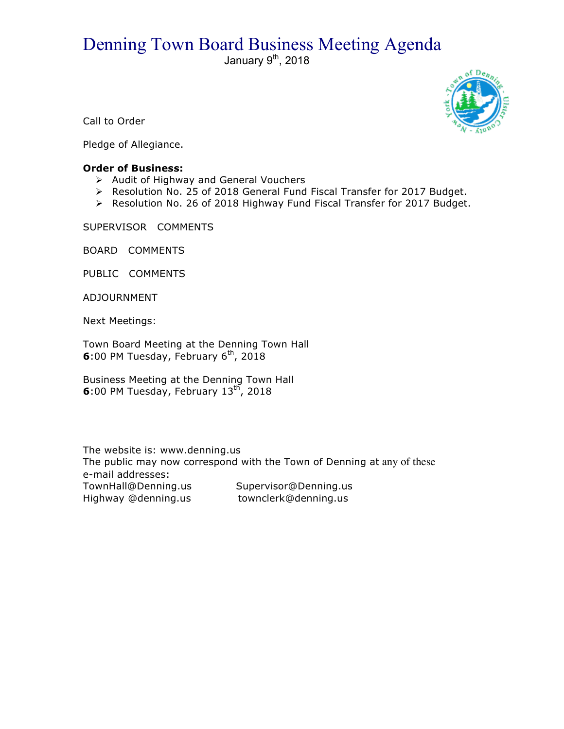## Denning Town Board Business Meeting Agenda<br>January 9<sup>th</sup>, 2018



Call to Order

Pledge of Allegiance.

## **Order of Business:**

- $\triangleright$  Audit of Highway and General Vouchers
- $\triangleright$  Resolution No. 25 of 2018 General Fund Fiscal Transfer for 2017 Budget.
- ! Resolution No. 26 of 2018 Highway Fund Fiscal Transfer for 2017 Budget.

SUPERVISOR COMMENTS

BOARD COMMENTS

PUBLIC COMMENTS

ADJOURNMENT

Next Meetings:

Town Board Meeting at the Denning Town Hall **6**:00 PM Tuesday, February 6<sup>th</sup>, 2018

Business Meeting at the Denning Town Hall **6**:00 PM Tuesday, February 13<sup>th</sup>, 2018

The website is: www.denning.us The public may now correspond with the Town of Denning at any of these e-mail addresses: TownHall@Denning.us Supervisor@Denning.us Highway @denning.us townclerk@denning.us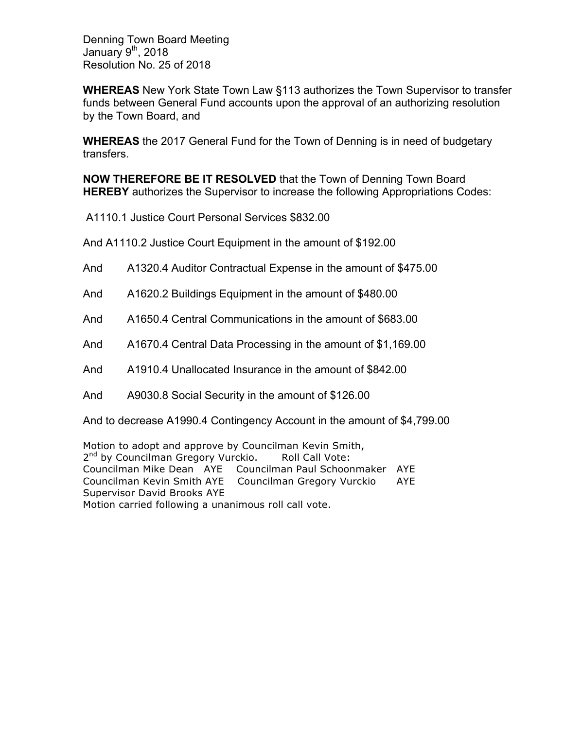Denning Town Board Meeting January  $9<sup>th</sup>$ , 2018 Resolution No. 25 of 2018

**WHEREAS** New York State Town Law §113 authorizes the Town Supervisor to transfer funds between General Fund accounts upon the approval of an authorizing resolution by the Town Board, and

**WHEREAS** the 2017 General Fund for the Town of Denning is in need of budgetary transfers.

**NOW THEREFORE BE IT RESOLVED** that the Town of Denning Town Board **HEREBY** authorizes the Supervisor to increase the following Appropriations Codes:

A1110.1 Justice Court Personal Services \$832.00

And A1110.2 Justice Court Equipment in the amount of \$192.00

- And A1320.4 Auditor Contractual Expense in the amount of \$475.00
- And A1620.2 Buildings Equipment in the amount of \$480.00
- And A1650.4 Central Communications in the amount of \$683.00
- And A1670.4 Central Data Processing in the amount of \$1,169.00
- And A1910.4 Unallocated Insurance in the amount of \$842.00
- And A9030.8 Social Security in the amount of \$126.00

And to decrease A1990.4 Contingency Account in the amount of \$4,799.00

Motion to adopt and approve by Councilman Kevin Smith, 2<sup>nd</sup> by Councilman Gregory Vurckio. Roll Call Vote: Councilman Mike Dean AYE Councilman Paul Schoonmaker AYE Councilman Kevin Smith AYE Councilman Gregory Vurckio AYE Supervisor David Brooks AYE Motion carried following a unanimous roll call vote.